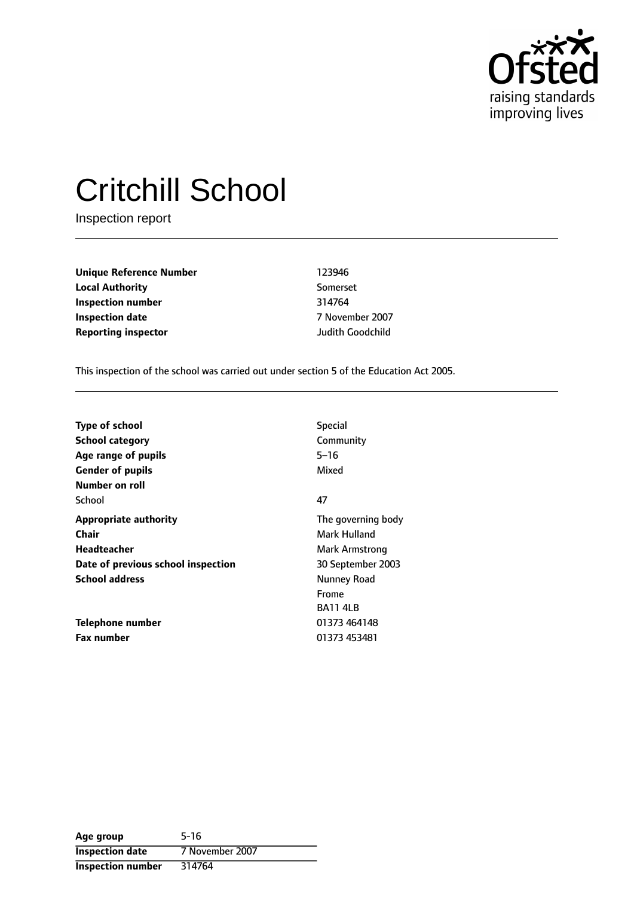

# Critchill School

Inspection report

**Unique Reference Number** 123946 **Local Authority** Somerset **Inspection number** 314764 **Inspection date** 7 November 2007 **Reporting inspector** Judith Goodchild

This inspection of the school was carried out under section 5 of the Education Act 2005.

| <b>Special</b>     |
|--------------------|
| Community          |
| $5 - 16$           |
| Mixed              |
|                    |
| 47                 |
| The governing body |
| Mark Hulland       |
| Mark Armstrong     |
| 30 September 2003  |
| Nunney Road        |
| Frome              |
| <b>BA11 4LB</b>    |
| 01373 464148       |
| 01373 453481       |
|                    |

| Age group                | $5 - 16$        |
|--------------------------|-----------------|
| <b>Inspection date</b>   | 7 November 2007 |
| <b>Inspection number</b> | 314764          |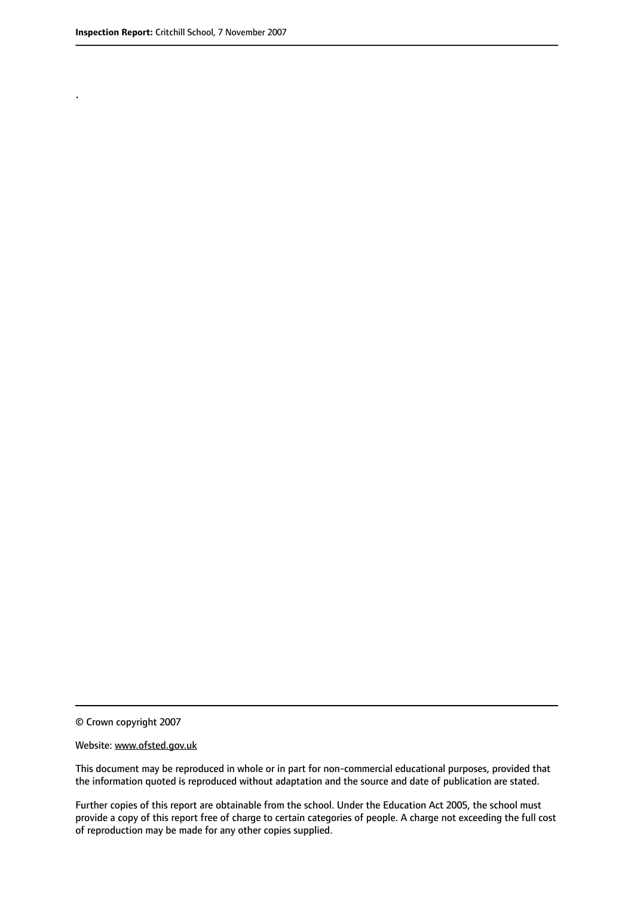.

© Crown copyright 2007

#### Website: www.ofsted.gov.uk

This document may be reproduced in whole or in part for non-commercial educational purposes, provided that the information quoted is reproduced without adaptation and the source and date of publication are stated.

Further copies of this report are obtainable from the school. Under the Education Act 2005, the school must provide a copy of this report free of charge to certain categories of people. A charge not exceeding the full cost of reproduction may be made for any other copies supplied.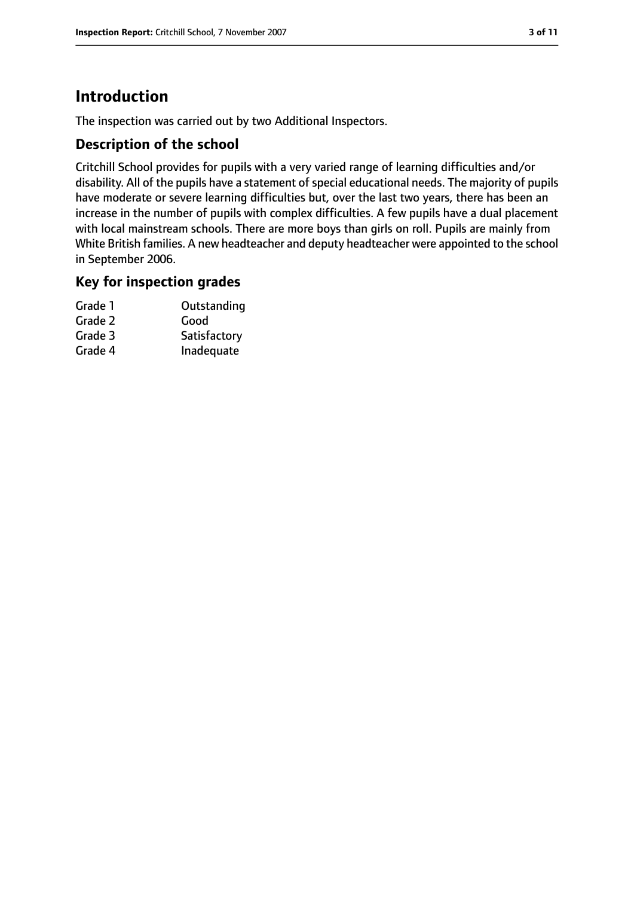# **Introduction**

The inspection was carried out by two Additional Inspectors.

#### **Description of the school**

Critchill School provides for pupils with a very varied range of learning difficulties and/or disability. All of the pupils have a statement of special educational needs. The majority of pupils have moderate or severe learning difficulties but, over the last two years, there has been an increase in the number of pupils with complex difficulties. A few pupils have a dual placement with local mainstream schools. There are more boys than girls on roll. Pupils are mainly from White British families. A new headteacher and deputy headteacher were appointed to the school in September 2006.

#### **Key for inspection grades**

| Grade 1 | Outstanding  |
|---------|--------------|
| Grade 2 | Good         |
| Grade 3 | Satisfactory |
| Grade 4 | Inadequate   |
|         |              |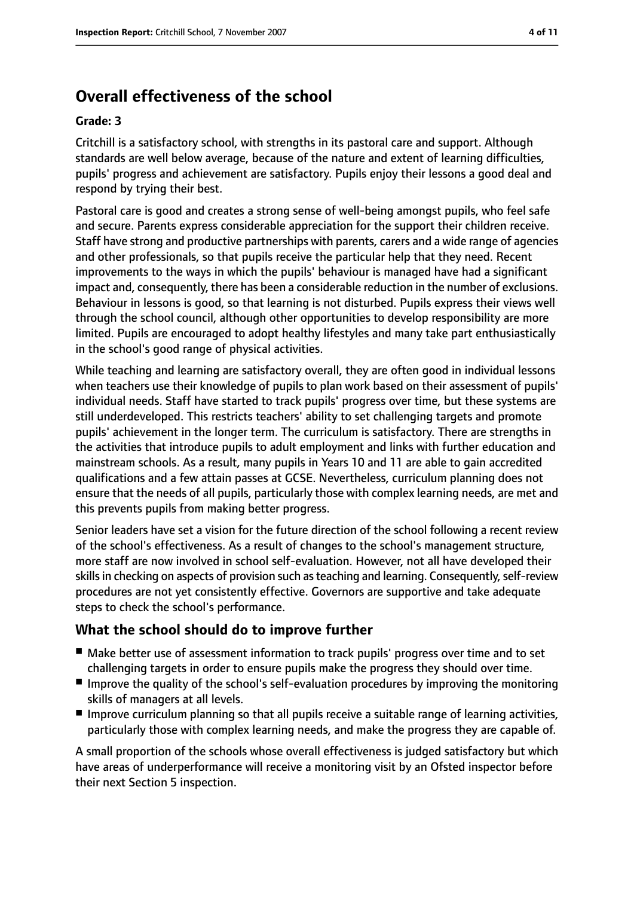# **Overall effectiveness of the school**

#### **Grade: 3**

Critchill is a satisfactory school, with strengths in its pastoral care and support. Although standards are well below average, because of the nature and extent of learning difficulties, pupils' progress and achievement are satisfactory. Pupils enjoy their lessons a good deal and respond by trying their best.

Pastoral care is good and creates a strong sense of well-being amongst pupils, who feel safe and secure. Parents express considerable appreciation for the support their children receive. Staff have strong and productive partnerships with parents, carers and a wide range of agencies and other professionals, so that pupils receive the particular help that they need. Recent improvements to the ways in which the pupils' behaviour is managed have had a significant impact and, consequently, there has been a considerable reduction in the number of exclusions. Behaviour in lessons is good, so that learning is not disturbed. Pupils express their views well through the school council, although other opportunities to develop responsibility are more limited. Pupils are encouraged to adopt healthy lifestyles and many take part enthusiastically in the school's good range of physical activities.

While teaching and learning are satisfactory overall, they are often good in individual lessons when teachers use their knowledge of pupils to plan work based on their assessment of pupils' individual needs. Staff have started to track pupils' progress over time, but these systems are still underdeveloped. This restricts teachers' ability to set challenging targets and promote pupils' achievement in the longer term. The curriculum is satisfactory. There are strengths in the activities that introduce pupils to adult employment and links with further education and mainstream schools. As a result, many pupils in Years 10 and 11 are able to gain accredited qualifications and a few attain passes at GCSE. Nevertheless, curriculum planning does not ensure that the needs of all pupils, particularly those with complex learning needs, are met and this prevents pupils from making better progress.

Senior leaders have set a vision for the future direction of the school following a recent review of the school's effectiveness. As a result of changes to the school's management structure, more staff are now involved in school self-evaluation. However, not all have developed their skills in checking on aspects of provision such as teaching and learning. Consequently, self-review procedures are not yet consistently effective. Governors are supportive and take adequate steps to check the school's performance.

#### **What the school should do to improve further**

- Make better use of assessment information to track pupils' progress over time and to set challenging targets in order to ensure pupils make the progress they should over time.
- Improve the quality of the school's self-evaluation procedures by improving the monitoring skills of managers at all levels.
- Improve curriculum planning so that all pupils receive a suitable range of learning activities, particularly those with complex learning needs, and make the progress they are capable of.

A small proportion of the schools whose overall effectiveness is judged satisfactory but which have areas of underperformance will receive a monitoring visit by an Ofsted inspector before their next Section 5 inspection.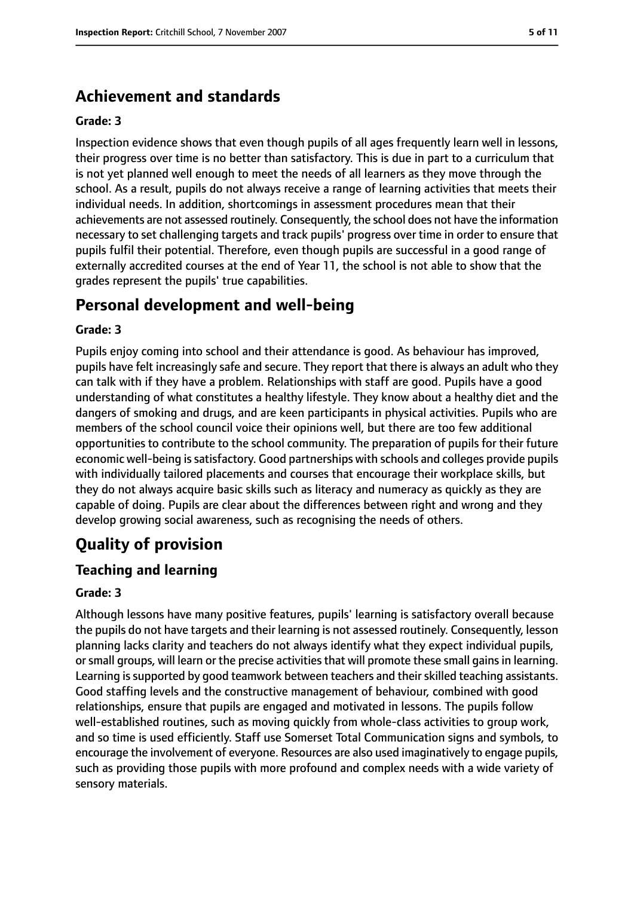# **Achievement and standards**

#### **Grade: 3**

Inspection evidence shows that even though pupils of all ages frequently learn well in lessons, their progress over time is no better than satisfactory. This is due in part to a curriculum that is not yet planned well enough to meet the needs of all learners as they move through the school. As a result, pupils do not always receive a range of learning activities that meets their individual needs. In addition, shortcomings in assessment procedures mean that their achievements are not assessed routinely. Consequently, the school does not have the information necessary to set challenging targets and track pupils' progress over time in order to ensure that pupils fulfil their potential. Therefore, even though pupils are successful in a good range of externally accredited courses at the end of Year 11, the school is not able to show that the grades represent the pupils' true capabilities.

# **Personal development and well-being**

#### **Grade: 3**

Pupils enjoy coming into school and their attendance is good. As behaviour has improved, pupils have felt increasingly safe and secure. They report that there is always an adult who they can talk with if they have a problem. Relationships with staff are good. Pupils have a good understanding of what constitutes a healthy lifestyle. They know about a healthy diet and the dangers of smoking and drugs, and are keen participants in physical activities. Pupils who are members of the school council voice their opinions well, but there are too few additional opportunities to contribute to the school community. The preparation of pupils for their future economic well-being is satisfactory. Good partnerships with schools and colleges provide pupils with individually tailored placements and courses that encourage their workplace skills, but they do not always acquire basic skills such as literacy and numeracy as quickly as they are capable of doing. Pupils are clear about the differences between right and wrong and they develop growing social awareness, such as recognising the needs of others.

# **Quality of provision**

#### **Teaching and learning**

#### **Grade: 3**

Although lessons have many positive features, pupils' learning is satisfactory overall because the pupils do not have targets and their learning is not assessed routinely. Consequently, lesson planning lacks clarity and teachers do not always identify what they expect individual pupils, or small groups, will learn or the precise activities that will promote these small gains in learning. Learning is supported by good teamwork between teachers and their skilled teaching assistants. Good staffing levels and the constructive management of behaviour, combined with good relationships, ensure that pupils are engaged and motivated in lessons. The pupils follow well-established routines, such as moving quickly from whole-class activities to group work, and so time is used efficiently. Staff use Somerset Total Communication signs and symbols, to encourage the involvement of everyone. Resources are also used imaginatively to engage pupils, such as providing those pupils with more profound and complex needs with a wide variety of sensory materials.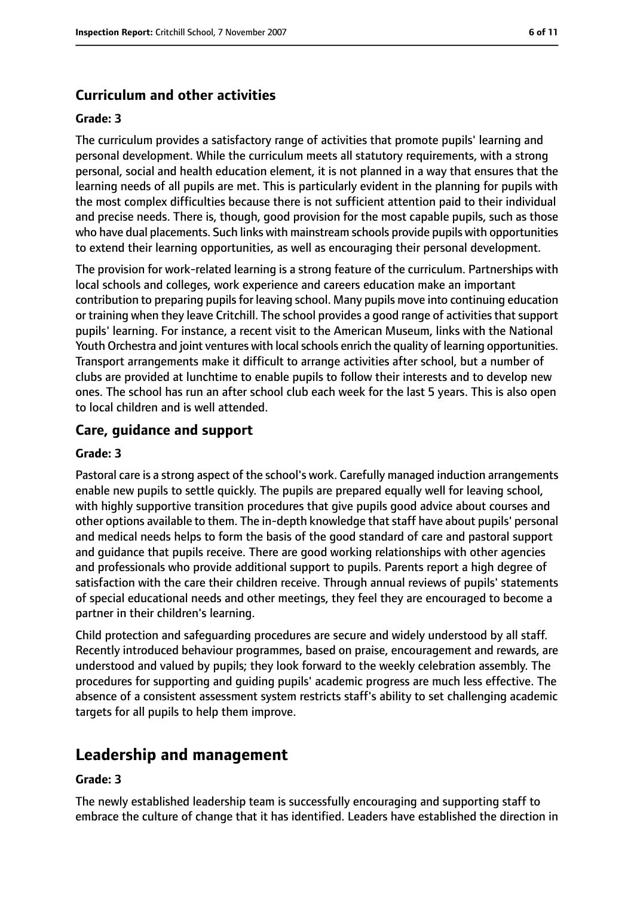#### **Curriculum and other activities**

#### **Grade: 3**

The curriculum provides a satisfactory range of activities that promote pupils' learning and personal development. While the curriculum meets all statutory requirements, with a strong personal, social and health education element, it is not planned in a way that ensures that the learning needs of all pupils are met. This is particularly evident in the planning for pupils with the most complex difficulties because there is not sufficient attention paid to their individual and precise needs. There is, though, good provision for the most capable pupils, such as those who have dual placements. Such links with mainstream schools provide pupils with opportunities to extend their learning opportunities, as well as encouraging their personal development.

The provision for work-related learning is a strong feature of the curriculum. Partnerships with local schools and colleges, work experience and careers education make an important contribution to preparing pupils for leaving school. Many pupils move into continuing education or training when they leave Critchill. The school provides a good range of activities that support pupils' learning. For instance, a recent visit to the American Museum, links with the National Youth Orchestra and joint ventures with local schools enrich the quality of learning opportunities. Transport arrangements make it difficult to arrange activities after school, but a number of clubs are provided at lunchtime to enable pupils to follow their interests and to develop new ones. The school has run an after school club each week for the last 5 years. This is also open to local children and is well attended.

#### **Care, guidance and support**

#### **Grade: 3**

Pastoral care is a strong aspect of the school's work. Carefully managed induction arrangements enable new pupils to settle quickly. The pupils are prepared equally well for leaving school, with highly supportive transition procedures that give pupils good advice about courses and other options available to them. The in-depth knowledge that staff have about pupils' personal and medical needs helps to form the basis of the good standard of care and pastoral support and guidance that pupils receive. There are good working relationships with other agencies and professionals who provide additional support to pupils. Parents report a high degree of satisfaction with the care their children receive. Through annual reviews of pupils' statements of special educational needs and other meetings, they feel they are encouraged to become a partner in their children's learning.

Child protection and safeguarding procedures are secure and widely understood by all staff. Recently introduced behaviour programmes, based on praise, encouragement and rewards, are understood and valued by pupils; they look forward to the weekly celebration assembly. The procedures for supporting and guiding pupils' academic progress are much less effective. The absence of a consistent assessment system restricts staff's ability to set challenging academic targets for all pupils to help them improve.

# **Leadership and management**

#### **Grade: 3**

The newly established leadership team is successfully encouraging and supporting staff to embrace the culture of change that it has identified. Leaders have established the direction in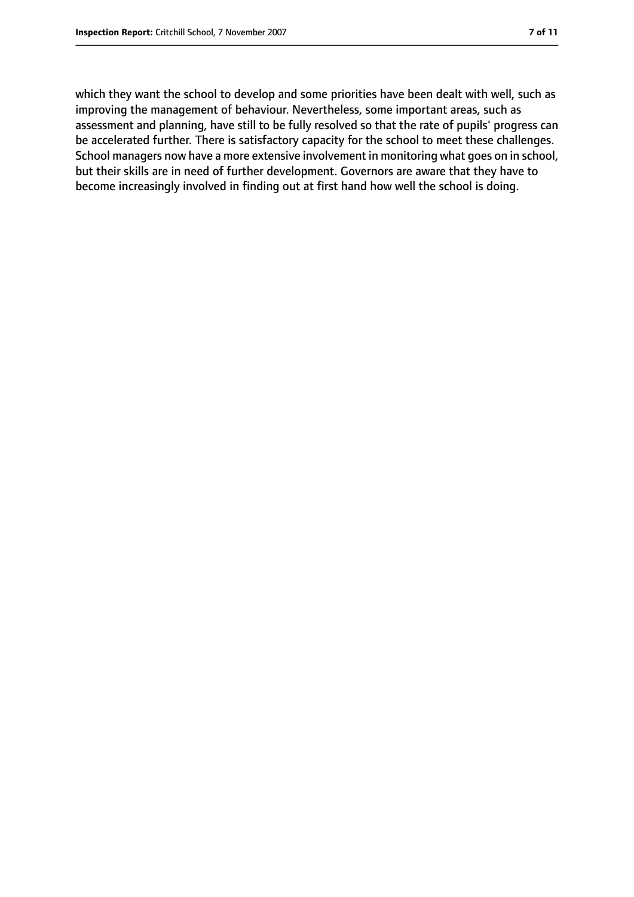which they want the school to develop and some priorities have been dealt with well, such as improving the management of behaviour. Nevertheless, some important areas, such as assessment and planning, have still to be fully resolved so that the rate of pupils' progress can be accelerated further. There is satisfactory capacity for the school to meet these challenges. School managers now have a more extensive involvement in monitoring what goes on in school, but their skills are in need of further development. Governors are aware that they have to become increasingly involved in finding out at first hand how well the school is doing.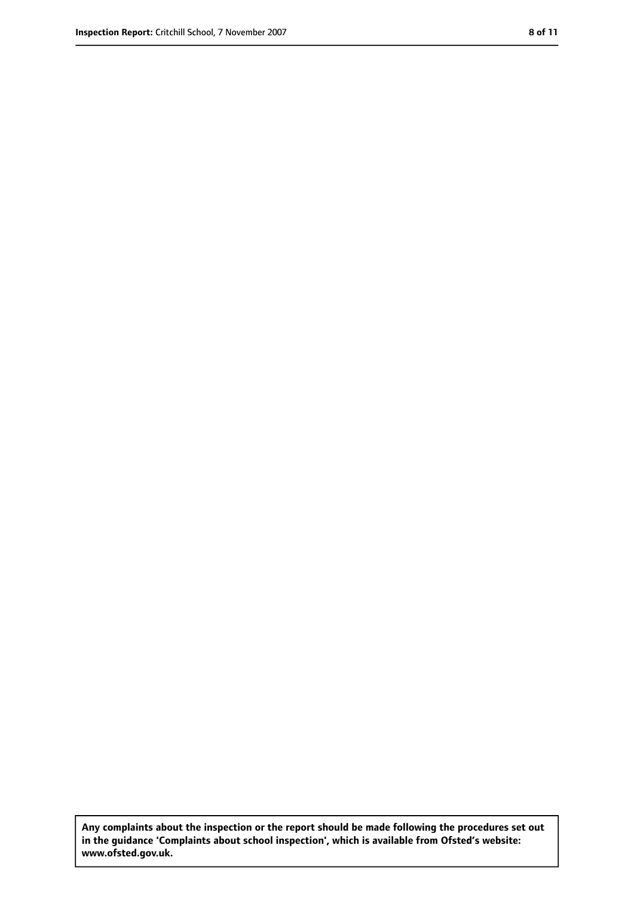**Any complaints about the inspection or the report should be made following the procedures set out in the guidance 'Complaints about school inspection', which is available from Ofsted's website: www.ofsted.gov.uk.**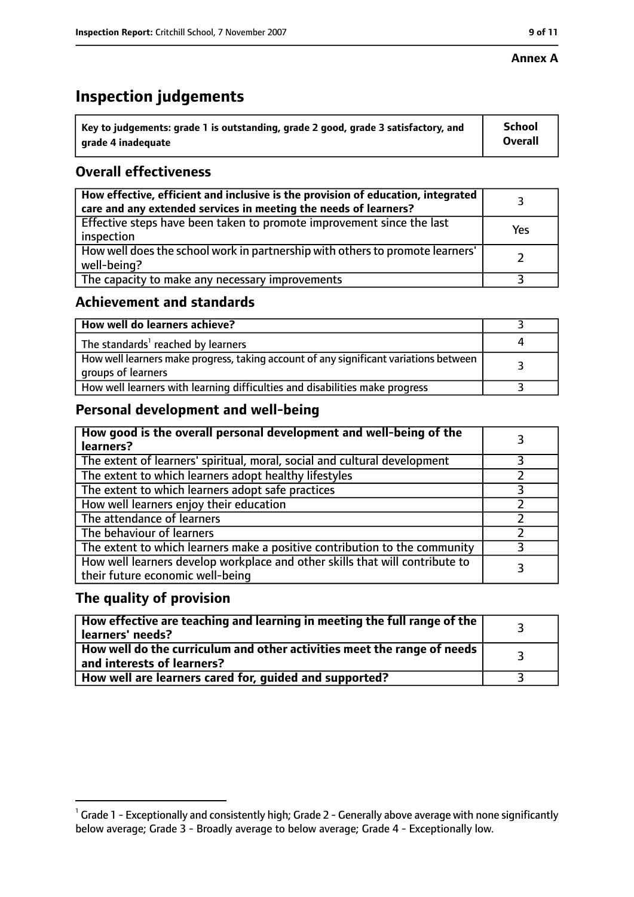#### **Annex A**

# **Inspection judgements**

| $^{\backprime}$ Key to judgements: grade 1 is outstanding, grade 2 good, grade 3 satisfactory, and | School         |
|----------------------------------------------------------------------------------------------------|----------------|
| arade 4 inadeguate                                                                                 | <b>Overall</b> |

### **Overall effectiveness**

| How effective, efficient and inclusive is the provision of education, integrated<br>care and any extended services in meeting the needs of learners? |     |
|------------------------------------------------------------------------------------------------------------------------------------------------------|-----|
| Effective steps have been taken to promote improvement since the last<br>inspection                                                                  | Yes |
| How well does the school work in partnership with others to promote learners'<br>well-being?                                                         |     |
| The capacity to make any necessary improvements                                                                                                      |     |

### **Achievement and standards**

| How well do learners achieve?                                                                               |  |
|-------------------------------------------------------------------------------------------------------------|--|
| The standards <sup>1</sup> reached by learners                                                              |  |
| How well learners make progress, taking account of any significant variations between<br>groups of learners |  |
| How well learners with learning difficulties and disabilities make progress                                 |  |

# **Personal development and well-being**

| How good is the overall personal development and well-being of the<br>learners?                                  |   |
|------------------------------------------------------------------------------------------------------------------|---|
| The extent of learners' spiritual, moral, social and cultural development                                        |   |
| The extent to which learners adopt healthy lifestyles                                                            |   |
| The extent to which learners adopt safe practices                                                                |   |
| How well learners enjoy their education                                                                          |   |
| The attendance of learners                                                                                       |   |
| The behaviour of learners                                                                                        |   |
| The extent to which learners make a positive contribution to the community                                       | 3 |
| How well learners develop workplace and other skills that will contribute to<br>their future economic well-being |   |

#### **The quality of provision**

| $\mid$ How effective are teaching and learning in meeting the full range of the $\mid$<br>learners' needs? |  |
|------------------------------------------------------------------------------------------------------------|--|
| How well do the curriculum and other activities meet the range of needs  <br>and interests of learners?    |  |
| How well are learners cared for, guided and supported?                                                     |  |

 $^1$  Grade 1 - Exceptionally and consistently high; Grade 2 - Generally above average with none significantly below average; Grade 3 - Broadly average to below average; Grade 4 - Exceptionally low.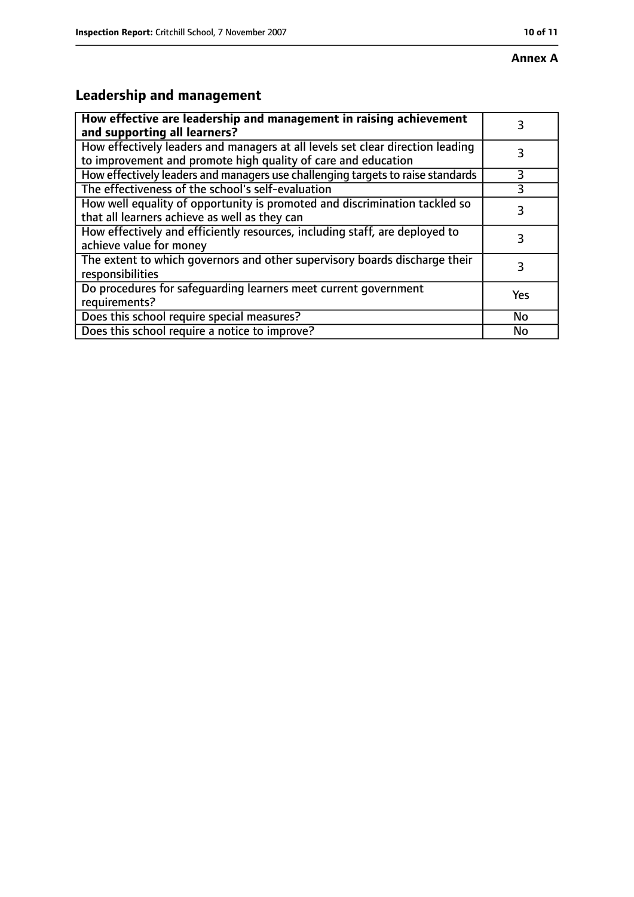# **Annex A**

# **Leadership and management**

| How effective are leadership and management in raising achievement<br>and supporting all learners?                                              |     |
|-------------------------------------------------------------------------------------------------------------------------------------------------|-----|
| How effectively leaders and managers at all levels set clear direction leading<br>to improvement and promote high quality of care and education |     |
| How effectively leaders and managers use challenging targets to raise standards                                                                 | 3   |
| The effectiveness of the school's self-evaluation                                                                                               |     |
| How well equality of opportunity is promoted and discrimination tackled so<br>that all learners achieve as well as they can                     | 3   |
| How effectively and efficiently resources, including staff, are deployed to<br>achieve value for money                                          | 3   |
| The extent to which governors and other supervisory boards discharge their<br>responsibilities                                                  | 3   |
| Do procedures for safequarding learners meet current government<br>requirements?                                                                | Yes |
| Does this school require special measures?                                                                                                      | No  |
| Does this school require a notice to improve?                                                                                                   | No  |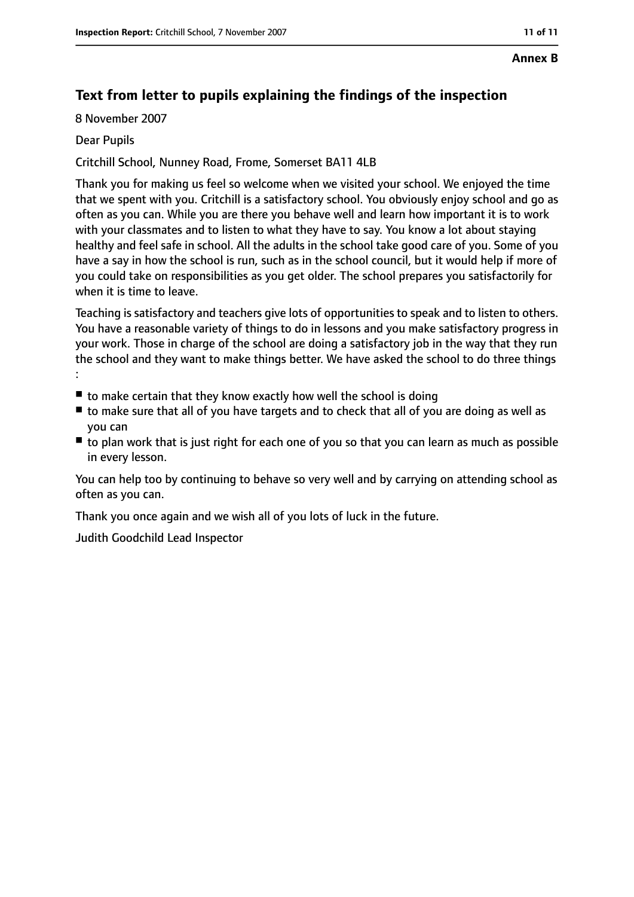# **Text from letter to pupils explaining the findings of the inspection**

8 November 2007

#### Dear Pupils

Critchill School, Nunney Road, Frome, Somerset BA11 4LB

Thank you for making us feel so welcome when we visited your school. We enjoyed the time that we spent with you. Critchill is a satisfactory school. You obviously enjoy school and go as often as you can. While you are there you behave well and learn how important it is to work with your classmates and to listen to what they have to say. You know a lot about staying healthy and feel safe in school. All the adults in the school take good care of you. Some of you have a say in how the school is run, such as in the school council, but it would help if more of you could take on responsibilities as you get older. The school prepares you satisfactorily for when it is time to leave.

Teaching is satisfactory and teachers give lots of opportunities to speak and to listen to others. You have a reasonable variety of things to do in lessons and you make satisfactory progress in your work. Those in charge of the school are doing a satisfactory job in the way that they run the school and they want to make things better. We have asked the school to do three things :

- $\blacksquare$  to make certain that they know exactly how well the school is doing
- to make sure that all of you have targets and to check that all of you are doing as well as you can
- to plan work that is just right for each one of you so that you can learn as much as possible in every lesson.

You can help too by continuing to behave so very well and by carrying on attending school as often as you can.

Thank you once again and we wish all of you lots of luck in the future.

Judith Goodchild Lead Inspector